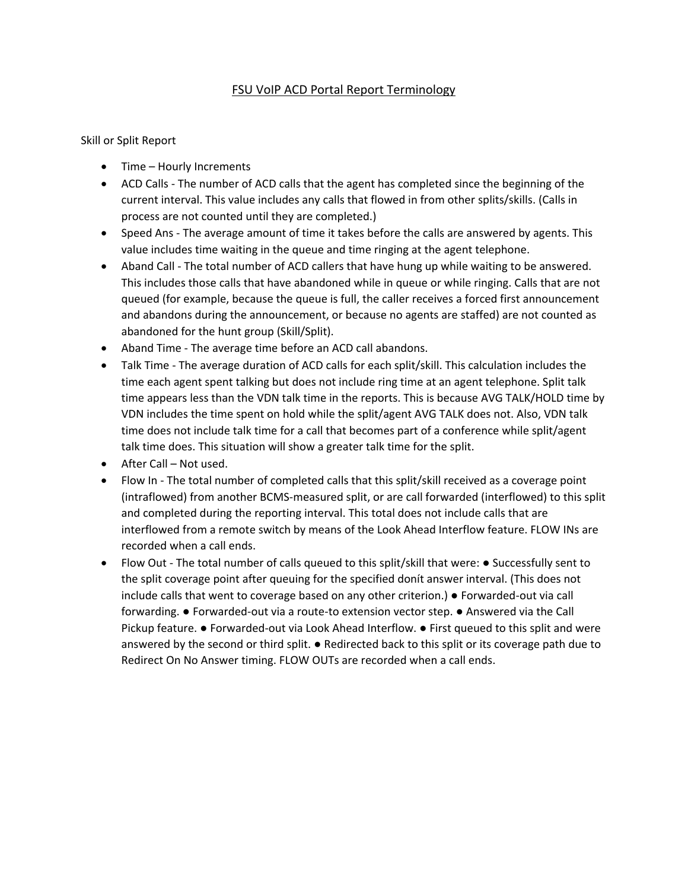## FSU VoIP ACD Portal Report Terminology

Skill or Split Report

- Time Hourly Increments
- ACD Calls The number of ACD calls that the agent has completed since the beginning of the current interval. This value includes any calls that flowed in from other splits/skills. (Calls in process are not counted until they are completed.)
- Speed Ans The average amount of time it takes before the calls are answered by agents. This value includes time waiting in the queue and time ringing at the agent telephone.
- Aband Call The total number of ACD callers that have hung up while waiting to be answered. This includes those calls that have abandoned while in queue or while ringing. Calls that are not queued (for example, because the queue is full, the caller receives a forced first announcement and abandons during the announcement, or because no agents are staffed) are not counted as abandoned for the hunt group (Skill/Split).
- Aband Time The average time before an ACD call abandons.
- Talk Time The average duration of ACD calls for each split/skill. This calculation includes the time each agent spent talking but does not include ring time at an agent telephone. Split talk time appears less than the VDN talk time in the reports. This is because AVG TALK/HOLD time by VDN includes the time spent on hold while the split/agent AVG TALK does not. Also, VDN talk time does not include talk time for a call that becomes part of a conference while split/agent talk time does. This situation will show a greater talk time for the split.
- After Call Not used.
- Flow In The total number of completed calls that this split/skill received as a coverage point (intraflowed) from another BCMS-measured split, or are call forwarded (interflowed) to this split and completed during the reporting interval. This total does not include calls that are interflowed from a remote switch by means of the Look Ahead Interflow feature. FLOW INs are recorded when a call ends.
- Flow Out The total number of calls queued to this split/skill that were: Successfully sent to the split coverage point after queuing for the specified donít answer interval. (This does not include calls that went to coverage based on any other criterion.) ● Forwarded-out via call forwarding. ● Forwarded-out via a route-to extension vector step. ● Answered via the Call Pickup feature. ● Forwarded-out via Look Ahead Interflow. ● First queued to this split and were answered by the second or third split.  $\bullet$  Redirected back to this split or its coverage path due to Redirect On No Answer timing. FLOW OUTs are recorded when a call ends.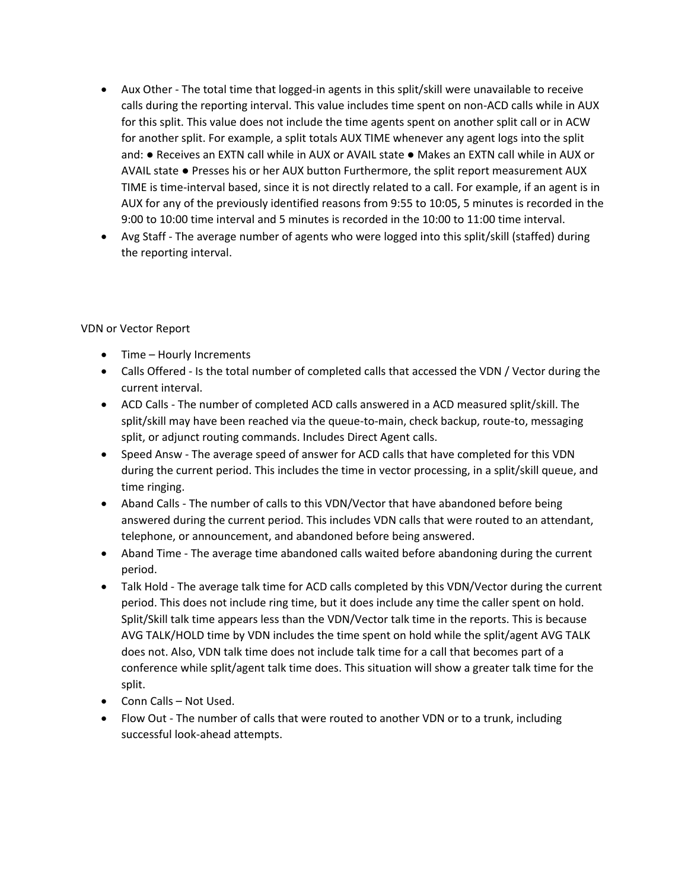- Aux Other The total time that logged-in agents in this split/skill were unavailable to receive calls during the reporting interval. This value includes time spent on non-ACD calls while in AUX for this split. This value does not include the time agents spent on another split call or in ACW for another split. For example, a split totals AUX TIME whenever any agent logs into the split and: ● Receives an EXTN call while in AUX or AVAIL state ● Makes an EXTN call while in AUX or AVAIL state ● Presses his or her AUX button Furthermore, the split report measurement AUX TIME is time-interval based, since it is not directly related to a call. For example, if an agent is in AUX for any of the previously identified reasons from 9:55 to 10:05, 5 minutes is recorded in the 9:00 to 10:00 time interval and 5 minutes is recorded in the 10:00 to 11:00 time interval.
- Avg Staff The average number of agents who were logged into this split/skill (staffed) during the reporting interval.

## VDN or Vector Report

- Time Hourly Increments
- Calls Offered Is the total number of completed calls that accessed the VDN / Vector during the current interval.
- ACD Calls The number of completed ACD calls answered in a ACD measured split/skill. The split/skill may have been reached via the queue-to-main, check backup, route-to, messaging split, or adjunct routing commands. Includes Direct Agent calls.
- Speed Answ The average speed of answer for ACD calls that have completed for this VDN during the current period. This includes the time in vector processing, in a split/skill queue, and time ringing.
- Aband Calls The number of calls to this VDN/Vector that have abandoned before being answered during the current period. This includes VDN calls that were routed to an attendant, telephone, or announcement, and abandoned before being answered.
- Aband Time The average time abandoned calls waited before abandoning during the current period.
- Talk Hold The average talk time for ACD calls completed by this VDN/Vector during the current period. This does not include ring time, but it does include any time the caller spent on hold. Split/Skill talk time appears less than the VDN/Vector talk time in the reports. This is because AVG TALK/HOLD time by VDN includes the time spent on hold while the split/agent AVG TALK does not. Also, VDN talk time does not include talk time for a call that becomes part of a conference while split/agent talk time does. This situation will show a greater talk time for the split.
- Conn Calls Not Used.
- Flow Out The number of calls that were routed to another VDN or to a trunk, including successful look-ahead attempts.